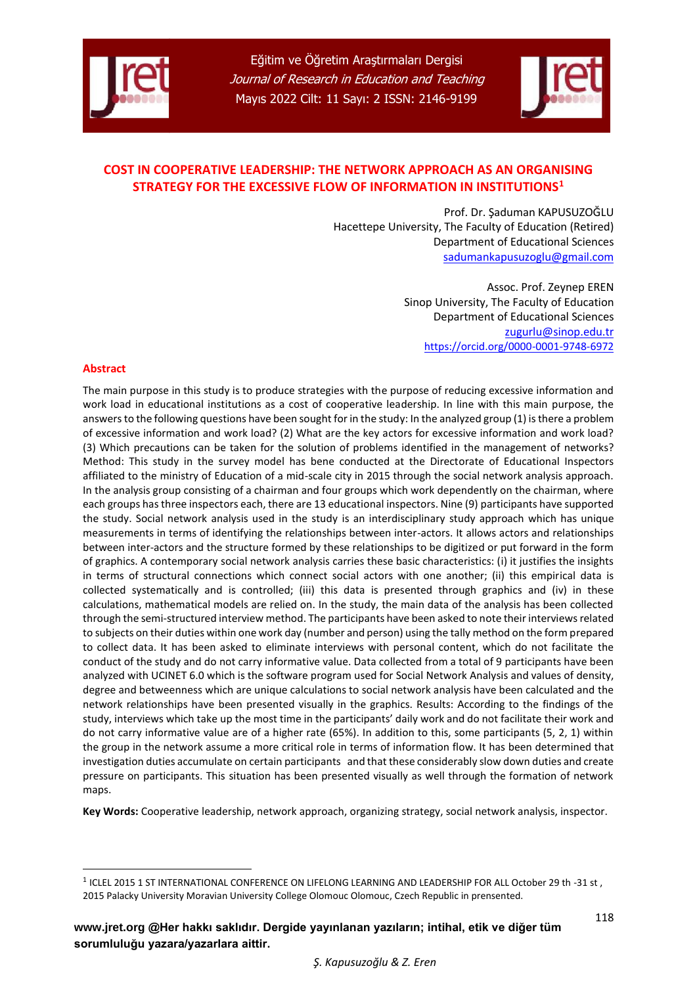



# **COST IN COOPERATIVE LEADERSHIP: THE NETWORK APPROACH AS AN ORGANISING STRATEGY FOR THE EXCESSIVE FLOW OF INFORMATION IN INSTITUTIONS<sup>1</sup>**

Prof. Dr. Şaduman KAPUSUZOĞLU Hacettepe University, The Faculty of Education (Retired) Department of Educational Sciences [sadumankapusuzoglu@gmail.com](mailto:sadumankapusuzoglu@gmail.com)

> Assoc. Prof. Zeynep EREN Sinop University, The Faculty of Education Department of Educational Sciences [zugurlu@sinop.edu.tr](mailto:zugurlu@sinop.edu.tr) <https://orcid.org/0000-0001-9748-6972>

#### **Abstract**

-

The main purpose in this study is to produce strategies with the purpose of reducing excessive information and work load in educational institutions as a cost of cooperative leadership. In line with this main purpose, the answers to the following questions have been sought for in the study: In the analyzed group (1) is there a problem of excessive information and work load? (2) What are the key actors for excessive information and work load? (3) Which precautions can be taken for the solution of problems identified in the management of networks? Method: This study in the survey model has bene conducted at the Directorate of Educational Inspectors affiliated to the ministry of Education of a mid-scale city in 2015 through the social network analysis approach. In the analysis group consisting of a chairman and four groups which work dependently on the chairman, where each groups has three inspectors each, there are 13 educational inspectors. Nine (9) participants have supported the study. Social network analysis used in the study is an interdisciplinary study approach which has unique measurements in terms of identifying the relationships between inter-actors. It allows actors and relationships between inter-actors and the structure formed by these relationships to be digitized or put forward in the form of graphics. A contemporary social network analysis carries these basic characteristics: (i) it justifies the insights in terms of structural connections which connect social actors with one another; (ii) this empirical data is collected systematically and is controlled; (iii) this data is presented through graphics and (iv) in these calculations, mathematical models are relied on. In the study, the main data of the analysis has been collected through the semi-structured interview method. The participants have been asked to note their interviews related to subjects on their duties within one work day (number and person) using the tally method on the form prepared to collect data. It has been asked to eliminate interviews with personal content, which do not facilitate the conduct of the study and do not carry informative value. Data collected from a total of 9 participants have been analyzed with UCINET 6.0 which is the software program used for Social Network Analysis and values of density, degree and betweenness which are unique calculations to social network analysis have been calculated and the network relationships have been presented visually in the graphics. Results: According to the findings of the study, interviews which take up the most time in the participants' daily work and do not facilitate their work and do not carry informative value are of a higher rate (65%). In addition to this, some participants (5, 2, 1) within the group in the network assume a more critical role in terms of information flow. It has been determined that investigation duties accumulate on certain participants and that these considerably slow down duties and create pressure on participants. This situation has been presented visually as well through the formation of network maps.

**Key Words:** Cooperative leadership, network approach, organizing strategy, social network analysis, inspector.

<sup>&</sup>lt;sup>1</sup> ICLEL 2015 1 ST INTERNATIONAL CONFERENCE ON LIFELONG LEARNING AND LEADERSHIP FOR ALL October 29 th -31 st , 2015 Palacky University Moravian University College Olomouc Olomouc, Czech Republic in prensented.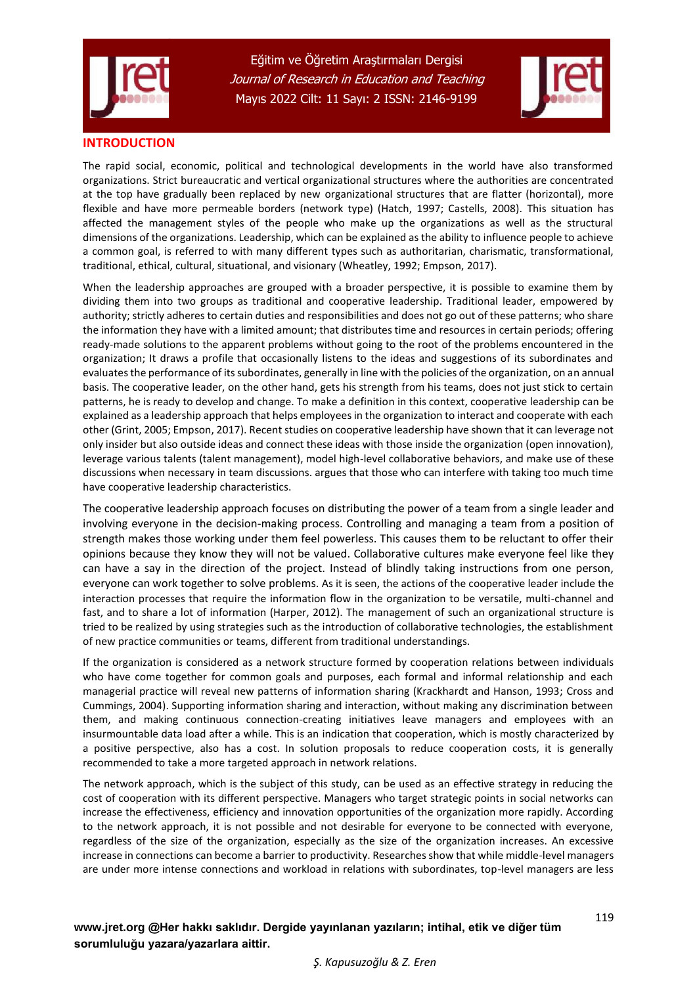



## **INTRODUCTION**

The rapid social, economic, political and technological developments in the world have also transformed organizations. Strict bureaucratic and vertical organizational structures where the authorities are concentrated at the top have gradually been replaced by new organizational structures that are flatter (horizontal), more flexible and have more permeable borders (network type) (Hatch, 1997; Castells, 2008). This situation has affected the management styles of the people who make up the organizations as well as the structural dimensions of the organizations. Leadership, which can be explained as the ability to influence people to achieve a common goal, is referred to with many different types such as authoritarian, charismatic, transformational, traditional, ethical, cultural, situational, and visionary (Wheatley, 1992; Empson, 2017).

When the leadership approaches are grouped with a broader perspective, it is possible to examine them by dividing them into two groups as traditional and cooperative leadership. Traditional leader, empowered by authority; strictly adheres to certain duties and responsibilities and does not go out of these patterns; who share the information they have with a limited amount; that distributes time and resources in certain periods; offering ready-made solutions to the apparent problems without going to the root of the problems encountered in the organization; It draws a profile that occasionally listens to the ideas and suggestions of its subordinates and evaluates the performance of its subordinates, generally in line with the policies of the organization, on an annual basis. The cooperative leader, on the other hand, gets his strength from his teams, does not just stick to certain patterns, he is ready to develop and change. To make a definition in this context, cooperative leadership can be explained as a leadership approach that helps employees in the organization to interact and cooperate with each other (Grint, 2005; Empson, 2017). Recent studies on cooperative leadership have shown that it can leverage not only insider but also outside ideas and connect these ideas with those inside the organization (open innovation), leverage various talents (talent management), model high-level collaborative behaviors, and make use of these discussions when necessary in team discussions. argues that those who can interfere with taking too much time have cooperative leadership characteristics.

The cooperative leadership approach focuses on distributing the power of a team from a single leader and involving everyone in the decision-making process. Controlling and managing a team from a position of strength makes those working under them feel powerless. This causes them to be reluctant to offer their opinions because they know they will not be valued. Collaborative cultures make everyone feel like they can have a say in the direction of the project. Instead of blindly taking instructions from one person, everyone can work together to solve problems. As it is seen, the actions of the cooperative leader include the interaction processes that require the information flow in the organization to be versatile, multi-channel and fast, and to share a lot of information (Harper, 2012). The management of such an organizational structure is tried to be realized by using strategies such as the introduction of collaborative technologies, the establishment of new practice communities or teams, different from traditional understandings.

If the organization is considered as a network structure formed by cooperation relations between individuals who have come together for common goals and purposes, each formal and informal relationship and each managerial practice will reveal new patterns of information sharing (Krackhardt and Hanson, 1993; Cross and Cummings, 2004). Supporting information sharing and interaction, without making any discrimination between them, and making continuous connection-creating initiatives leave managers and employees with an insurmountable data load after a while. This is an indication that cooperation, which is mostly characterized by a positive perspective, also has a cost. In solution proposals to reduce cooperation costs, it is generally recommended to take a more targeted approach in network relations.

The network approach, which is the subject of this study, can be used as an effective strategy in reducing the cost of cooperation with its different perspective. Managers who target strategic points in social networks can increase the effectiveness, efficiency and innovation opportunities of the organization more rapidly. According to the network approach, it is not possible and not desirable for everyone to be connected with everyone, regardless of the size of the organization, especially as the size of the organization increases. An excessive increase in connections can become a barrier to productivity. Researches show that while middle-level managers are under more intense connections and workload in relations with subordinates, top-level managers are less

 *Ş. Kapusuzoğlu & Z. Eren*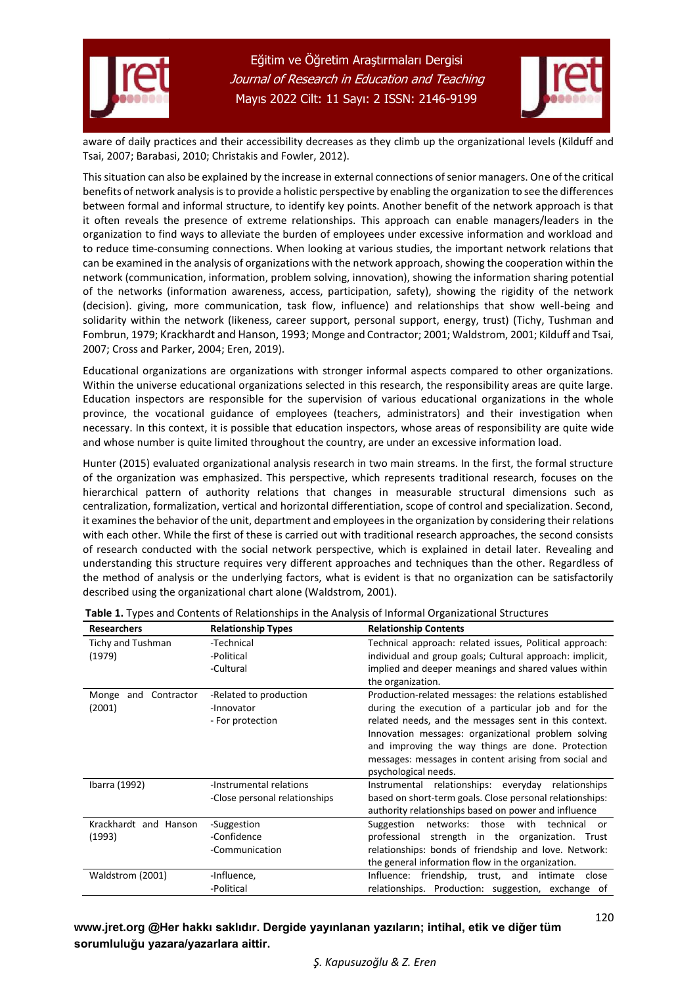



aware of daily practices and their accessibility decreases as they climb up the organizational levels (Kilduff and Tsai, 2007; Barabasi, 2010; Christakis and Fowler, 2012).

This situation can also be explained by the increase in external connections of senior managers. One of the critical benefits of network analysis is to provide a holistic perspective by enabling the organization to see the differences between formal and informal structure, to identify key points. Another benefit of the network approach is that it often reveals the presence of extreme relationships. This approach can enable managers/leaders in the organization to find ways to alleviate the burden of employees under excessive information and workload and to reduce time-consuming connections. When looking at various studies, the important network relations that can be examined in the analysis of organizations with the network approach, showing the cooperation within the network (communication, information, problem solving, innovation), showing the information sharing potential of the networks (information awareness, access, participation, safety), showing the rigidity of the network (decision). giving, more communication, task flow, influence) and relationships that show well-being and solidarity within the network (likeness, career support, personal support, energy, trust) (Tichy, Tushman and Fombrun, 1979; Krackhardt and Hanson, 1993; Monge and Contractor; 2001; Waldstrom, 2001; Kilduff and Tsai, 2007; Cross and Parker, 2004; Eren, 2019).

Educational organizations are organizations with stronger informal aspects compared to other organizations. Within the universe educational organizations selected in this research, the responsibility areas are quite large. Education inspectors are responsible for the supervision of various educational organizations in the whole province, the vocational guidance of employees (teachers, administrators) and their investigation when necessary. In this context, it is possible that education inspectors, whose areas of responsibility are quite wide and whose number is quite limited throughout the country, are under an excessive information load.

Hunter (2015) evaluated organizational analysis research in two main streams. In the first, the formal structure of the organization was emphasized. This perspective, which represents traditional research, focuses on the hierarchical pattern of authority relations that changes in measurable structural dimensions such as centralization, formalization, vertical and horizontal differentiation, scope of control and specialization. Second, it examines the behavior of the unit, department and employees in the organization by considering their relations with each other. While the first of these is carried out with traditional research approaches, the second consists of research conducted with the social network perspective, which is explained in detail later. Revealing and understanding this structure requires very different approaches and techniques than the other. Regardless of the method of analysis or the underlying factors, what is evident is that no organization can be satisfactorily described using the organizational chart alone (Waldstrom, 2001).

| <b>Researchers</b>                 | <b>Relationship Types</b>                                | <b>Relationship Contents</b>                                                                                                                                                                                                                                                                                                                                         |  |  |  |
|------------------------------------|----------------------------------------------------------|----------------------------------------------------------------------------------------------------------------------------------------------------------------------------------------------------------------------------------------------------------------------------------------------------------------------------------------------------------------------|--|--|--|
| <b>Tichy and Tushman</b><br>(1979) | -Technical<br>-Political<br>-Cultural                    | Technical approach: related issues, Political approach:<br>individual and group goals; Cultural approach: implicit,<br>implied and deeper meanings and shared values within<br>the organization.                                                                                                                                                                     |  |  |  |
| and Contractor<br>Monge<br>(2001)  | -Related to production<br>-Innovator<br>- For protection | Production-related messages: the relations established<br>during the execution of a particular job and for the<br>related needs, and the messages sent in this context.<br>Innovation messages: organizational problem solving<br>and improving the way things are done. Protection<br>messages: messages in content arising from social and<br>psychological needs. |  |  |  |
| Ibarra (1992)                      | -Instrumental relations<br>-Close personal relationships | Instrumental relationships: everyday relationships<br>based on short-term goals. Close personal relationships:<br>authority relationships based on power and influence                                                                                                                                                                                               |  |  |  |
| Krackhardt and Hanson<br>(1993)    | -Suggestion<br>-Confidence<br>-Communication             | networks: those with<br>technical<br>Suggestion<br>or<br>strength in the organization. Trust<br>professional<br>relationships: bonds of friendship and love. Network:<br>the general information flow in the organization.                                                                                                                                           |  |  |  |
| Waldstrom (2001)                   | -Influence,<br>-Political                                | friendship, trust, and intimate<br>Influence:<br>close<br>relationships. Production: suggestion, exchange of                                                                                                                                                                                                                                                         |  |  |  |

| Table 1. Types and Contents of Relationships in the Analysis of Informal Organizational Structures |
|----------------------------------------------------------------------------------------------------|
|----------------------------------------------------------------------------------------------------|

# **[www.jret.org @](http://www.jret.org/)Her hakkı saklıdır. Dergide yayınlanan yazıların; intihal, etik ve diğer tüm sorumluluğu yazara/yazarlara aittir.**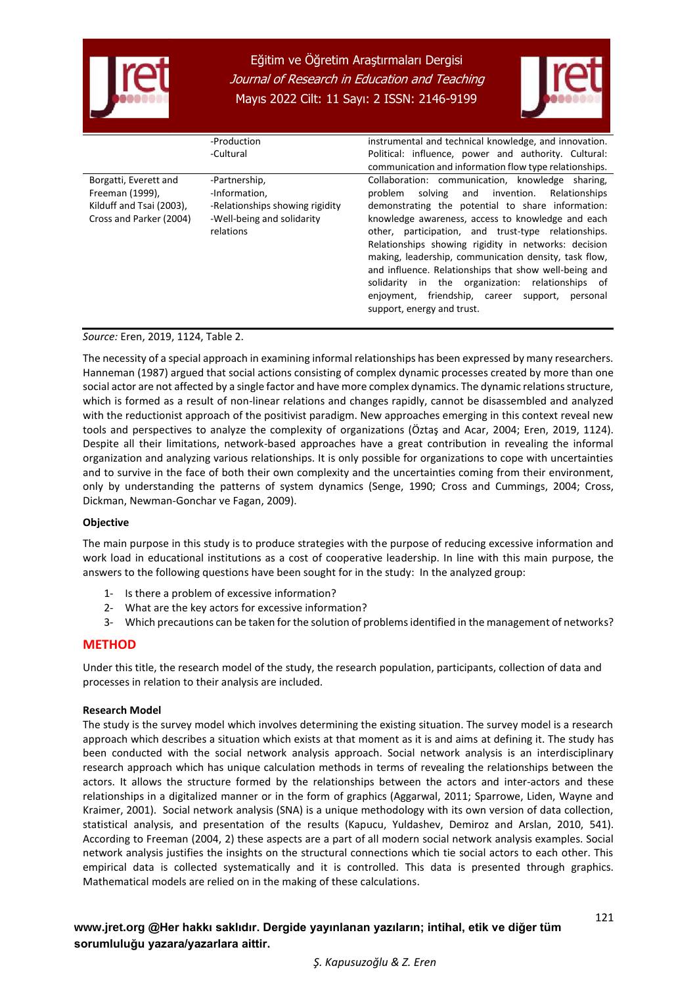



|                          | -Production                     | instrumental and technical knowledge, and innovation.                                                                                                                                                                                                                                                                                                              |
|--------------------------|---------------------------------|--------------------------------------------------------------------------------------------------------------------------------------------------------------------------------------------------------------------------------------------------------------------------------------------------------------------------------------------------------------------|
|                          | -Cultural                       | Political: influence, power and authority. Cultural:                                                                                                                                                                                                                                                                                                               |
|                          |                                 | communication and information flow type relationships.                                                                                                                                                                                                                                                                                                             |
| Borgatti, Everett and    | -Partnership,                   | Collaboration: communication, knowledge sharing,                                                                                                                                                                                                                                                                                                                   |
| Freeman (1999),          | -Information,                   | solving and invention. Relationships<br>problem                                                                                                                                                                                                                                                                                                                    |
| Kilduff and Tsai (2003), | -Relationships showing rigidity | demonstrating the potential to share information:                                                                                                                                                                                                                                                                                                                  |
| Cross and Parker (2004)  | -Well-being and solidarity      | knowledge awareness, access to knowledge and each                                                                                                                                                                                                                                                                                                                  |
|                          | relations                       | other, participation, and trust-type relationships.<br>Relationships showing rigidity in networks: decision<br>making, leadership, communication density, task flow,<br>and influence. Relationships that show well-being and<br>solidarity in the organization: relationships of<br>enjoyment, friendship, career support, personal<br>support, energy and trust. |

*Source:* Eren, 2019, 1124, Table 2.

The necessity of a special approach in examining informal relationships has been expressed by many researchers. Hanneman (1987) argued that social actions consisting of complex dynamic processes created by more than one social actor are not affected by a single factor and have more complex dynamics. The dynamic relations structure, which is formed as a result of non-linear relations and changes rapidly, cannot be disassembled and analyzed with the reductionist approach of the positivist paradigm. New approaches emerging in this context reveal new tools and perspectives to analyze the complexity of organizations (Öztaş and Acar, 2004; Eren, 2019, 1124). Despite all their limitations, network-based approaches have a great contribution in revealing the informal organization and analyzing various relationships. It is only possible for organizations to cope with uncertainties and to survive in the face of both their own complexity and the uncertainties coming from their environment, only by understanding the patterns of system dynamics (Senge, 1990; Cross and Cummings, 2004; Cross, Dickman, Newman-Gonchar ve Fagan, 2009).

#### **Objective**

The main purpose in this study is to produce strategies with the purpose of reducing excessive information and work load in educational institutions as a cost of cooperative leadership. In line with this main purpose, the answers to the following questions have been sought for in the study: In the analyzed group:

- 1- Is there a problem of excessive information?
- 2- What are the key actors for excessive information?
- 3- Which precautions can be taken for the solution of problems identified in the management of networks?

#### **METHOD**

Under this title, the research model of the study, the research population, participants, collection of data and processes in relation to their analysis are included.

#### **Research Model**

The study is the survey model which involves determining the existing situation. The survey model is a research approach which describes a situation which exists at that moment as it is and aims at defining it. The study has been conducted with the social network analysis approach. Social network analysis is an interdisciplinary research approach which has unique calculation methods in terms of revealing the relationships between the actors. It allows the structure formed by the relationships between the actors and inter-actors and these relationships in a digitalized manner or in the form of graphics (Aggarwal, 2011; Sparrowe, Liden, Wayne and Kraimer, 2001). Social network analysis (SNA) is a unique methodology with its own version of data collection, statistical analysis, and presentation of the results (Kapucu, Yuldashev, Demiroz and Arslan, 2010, 541). According to Freeman (2004, 2) these aspects are a part of all modern social network analysis examples. Social network analysis justifies the insights on the structural connections which tie social actors to each other. This empirical data is collected systematically and it is controlled. This data is presented through graphics. Mathematical models are relied on in the making of these calculations.

 *Ş. Kapusuzoğlu & Z. Eren*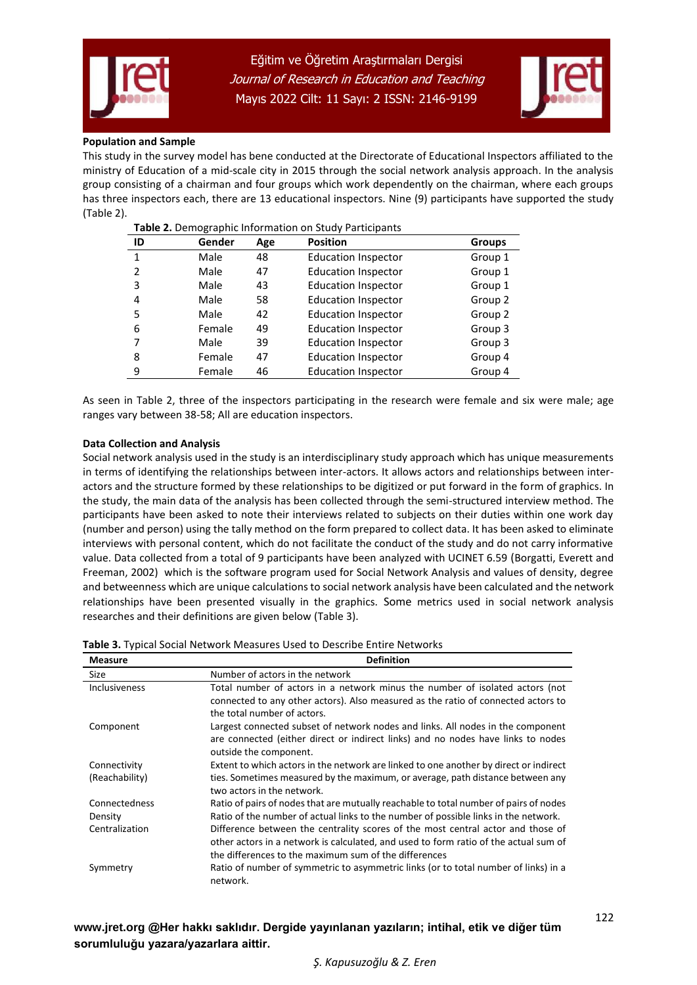



#### **Population and Sample**

This study in the survey model has bene conducted at the Directorate of Educational Inspectors affiliated to the ministry of Education of a mid-scale city in 2015 through the social network analysis approach. In the analysis group consisting of a chairman and four groups which work dependently on the chairman, where each groups has three inspectors each, there are 13 educational inspectors. Nine (9) participants have supported the study (Table 2).

| ID | Gender | Age | <b>Position</b>            | <b>Groups</b> |
|----|--------|-----|----------------------------|---------------|
| 1  | Male   | 48  | <b>Education Inspector</b> | Group 1       |
| 2  | Male   | 47  | <b>Education Inspector</b> | Group 1       |
| 3  | Male   | 43  | <b>Education Inspector</b> | Group 1       |
| 4  | Male   | 58  | <b>Education Inspector</b> | Group 2       |
| 5  | Male   | 42  | <b>Education Inspector</b> | Group 2       |
| 6  | Female | 49  | <b>Education Inspector</b> | Group 3       |
|    | Male   | 39  | <b>Education Inspector</b> | Group 3       |
| 8  | Female | 47  | <b>Education Inspector</b> | Group 4       |
| 9  | Female | 46  | <b>Education Inspector</b> | Group 4       |

As seen in Table 2, three of the inspectors participating in the research were female and six were male; age ranges vary between 38-58; All are education inspectors.

#### **Data Collection and Analysis**

Social network analysis used in the study is an interdisciplinary study approach which has unique measurements in terms of identifying the relationships between inter-actors. It allows actors and relationships between interactors and the structure formed by these relationships to be digitized or put forward in the form of graphics. In the study, the main data of the analysis has been collected through the semi-structured interview method. The participants have been asked to note their interviews related to subjects on their duties within one work day (number and person) using the tally method on the form prepared to collect data. It has been asked to eliminate interviews with personal content, which do not facilitate the conduct of the study and do not carry informative value. Data collected from a total of 9 participants have been analyzed with UCINET 6.59 (Borgatti, Everett and Freeman, 2002) which is the software program used for Social Network Analysis and values of density, degree and betweenness which are unique calculations to social network analysis have been calculated and the network relationships have been presented visually in the graphics. Some metrics used in social network analysis researches and their definitions are given below (Table 3).

| <b>Measure</b>       | <b>Definition</b>                                                                     |
|----------------------|---------------------------------------------------------------------------------------|
| Size                 | Number of actors in the network                                                       |
| <b>Inclusiveness</b> | Total number of actors in a network minus the number of isolated actors (not          |
|                      | connected to any other actors). Also measured as the ratio of connected actors to     |
|                      | the total number of actors.                                                           |
| Component            | Largest connected subset of network nodes and links. All nodes in the component       |
|                      | are connected (either direct or indirect links) and no nodes have links to nodes      |
|                      | outside the component.                                                                |
| Connectivity         | Extent to which actors in the network are linked to one another by direct or indirect |
| (Reachability)       | ties. Sometimes measured by the maximum, or average, path distance between any        |
|                      | two actors in the network.                                                            |
| Connectedness        | Ratio of pairs of nodes that are mutually reachable to total number of pairs of nodes |
| Density              | Ratio of the number of actual links to the number of possible links in the network.   |
| Centralization       | Difference between the centrality scores of the most central actor and those of       |
|                      | other actors in a network is calculated, and used to form ratio of the actual sum of  |
|                      | the differences to the maximum sum of the differences                                 |
| Symmetry             | Ratio of number of symmetric to asymmetric links (or to total number of links) in a   |
|                      | network.                                                                              |

 *Ş. Kapusuzoğlu & Z. Eren*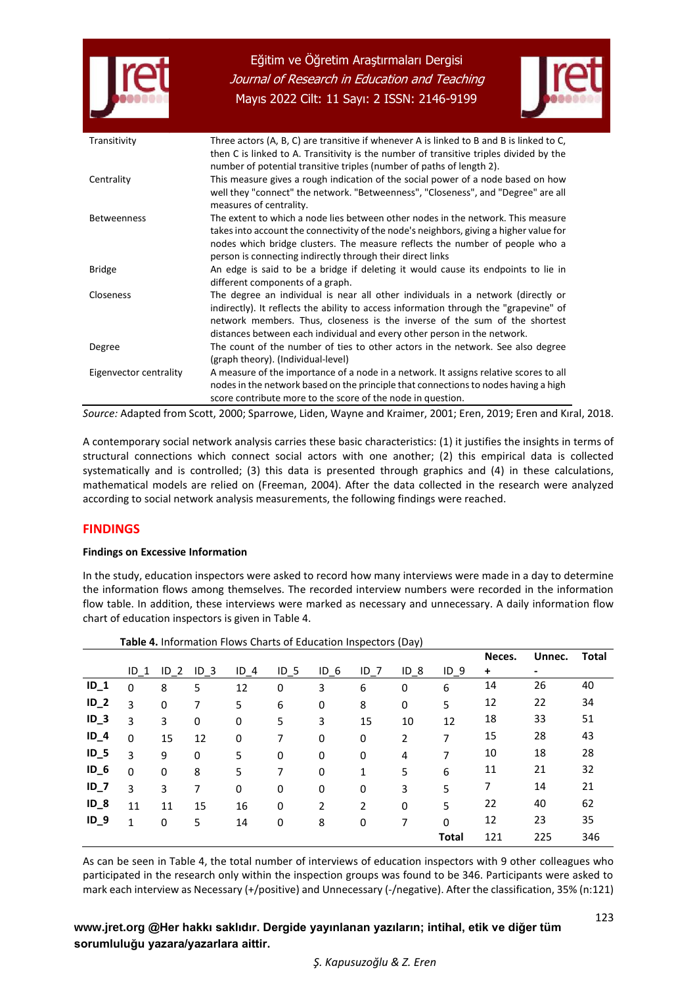



| Transitivity           | Three actors (A, B, C) are transitive if whenever A is linked to B and B is linked to C,<br>then C is linked to A. Transitivity is the number of transitive triples divided by the<br>number of potential transitive triples (number of paths of length 2).                                                                         |
|------------------------|-------------------------------------------------------------------------------------------------------------------------------------------------------------------------------------------------------------------------------------------------------------------------------------------------------------------------------------|
| Centrality             | This measure gives a rough indication of the social power of a node based on how<br>well they "connect" the network. "Betweenness", "Closeness", and "Degree" are all<br>measures of centrality.                                                                                                                                    |
| <b>Betweenness</b>     | The extent to which a node lies between other nodes in the network. This measure<br>takes into account the connectivity of the node's neighbors, giving a higher value for<br>nodes which bridge clusters. The measure reflects the number of people who a<br>person is connecting indirectly through their direct links            |
| <b>Bridge</b>          | An edge is said to be a bridge if deleting it would cause its endpoints to lie in<br>different components of a graph.                                                                                                                                                                                                               |
| <b>Closeness</b>       | The degree an individual is near all other individuals in a network (directly or<br>indirectly). It reflects the ability to access information through the "grapevine" of<br>network members. Thus, closeness is the inverse of the sum of the shortest<br>distances between each individual and every other person in the network. |
| Degree                 | The count of the number of ties to other actors in the network. See also degree<br>(graph theory). (Individual-level)                                                                                                                                                                                                               |
| Eigenvector centrality | A measure of the importance of a node in a network. It assigns relative scores to all<br>nodes in the network based on the principle that connections to nodes having a high<br>score contribute more to the score of the node in question.                                                                                         |

*Source:* Adapted from Scott, 2000; Sparrowe, Liden, Wayne and Kraimer, 2001; Eren, 2019; Eren and Kıral, 2018.

A contemporary social network analysis carries these basic characteristics: (1) it justifies the insights in terms of structural connections which connect social actors with one another; (2) this empirical data is collected systematically and is controlled; (3) this data is presented through graphics and (4) in these calculations, mathematical models are relied on (Freeman, 2004). After the data collected in the research were analyzed according to social network analysis measurements, the following findings were reached.

## **FINDINGS**

#### **Findings on Excessive Information**

In the study, education inspectors were asked to record how many interviews were made in a day to determine the information flows among themselves. The recorded interview numbers were recorded in the information flow table. In addition, these interviews were marked as necessary and unnecessary. A daily information flow chart of education inspectors is given in Table 4.

|        |                 |                 |                 |        |        |                 |                 |                 |                 | Neces. | Unnec. | Total |
|--------|-----------------|-----------------|-----------------|--------|--------|-----------------|-----------------|-----------------|-----------------|--------|--------|-------|
|        | ID <sub>1</sub> | ID <sub>2</sub> | ID <sub>3</sub> | $ID$ 4 | $ID_5$ | ID <sub>6</sub> | ID <sub>7</sub> | ID <sub>8</sub> | ID <sub>9</sub> | +      | ۰      |       |
| $ID_1$ | $\mathbf 0$     | 8               | 5               | 12     | 0      | 3               | 6               | 0               | 6               | 14     | 26     | 40    |
| $ID_2$ | 3               | 0               | 7               | 5      | 6      | 0               | 8               | 0               | 5               | 12     | 22     | 34    |
| $ID_3$ | 3               | 3               | 0               | 0      | 5      | 3               | 15              | 10              | 12              | 18     | 33     | 51    |
| $ID_4$ | $\mathbf 0$     | 15              | 12              | 0      | 7      | 0               | 0               | $\overline{2}$  | 7               | 15     | 28     | 43    |
| $ID_5$ | 3               | 9               | 0               | 5      | 0      | 0               | 0               | 4               | 7               | 10     | 18     | 28    |
| $ID_6$ | $\mathbf 0$     | 0               | 8               | 5      | 7      | 0               | 1               | 5               | 6               | 11     | 21     | 32    |
| $ID_7$ | 3               | 3               | 7               | 0      | 0      | 0               | 0               | 3               | 5               | 7      | 14     | 21    |
| $ID_8$ | 11              | 11              | 15              | 16     | 0      | 2               | 2               | 0               | 5               | 22     | 40     | 62    |
| $ID_9$ | 1               | 0               | 5               | 14     | 0      | 8               | 0               | 7               | 0               | 12     | 23     | 35    |
|        |                 |                 |                 |        |        |                 |                 |                 | <b>Total</b>    | 121    | 225    | 346   |

**Table 4.** Information Flows Charts of Education Inspectors (Day)

As can be seen in Table 4, the total number of interviews of education inspectors with 9 other colleagues who participated in the research only within the inspection groups was found to be 346. Participants were asked to mark each interview as Necessary (+/positive) and Unnecessary (-/negative). After the classification, 35% (n:121)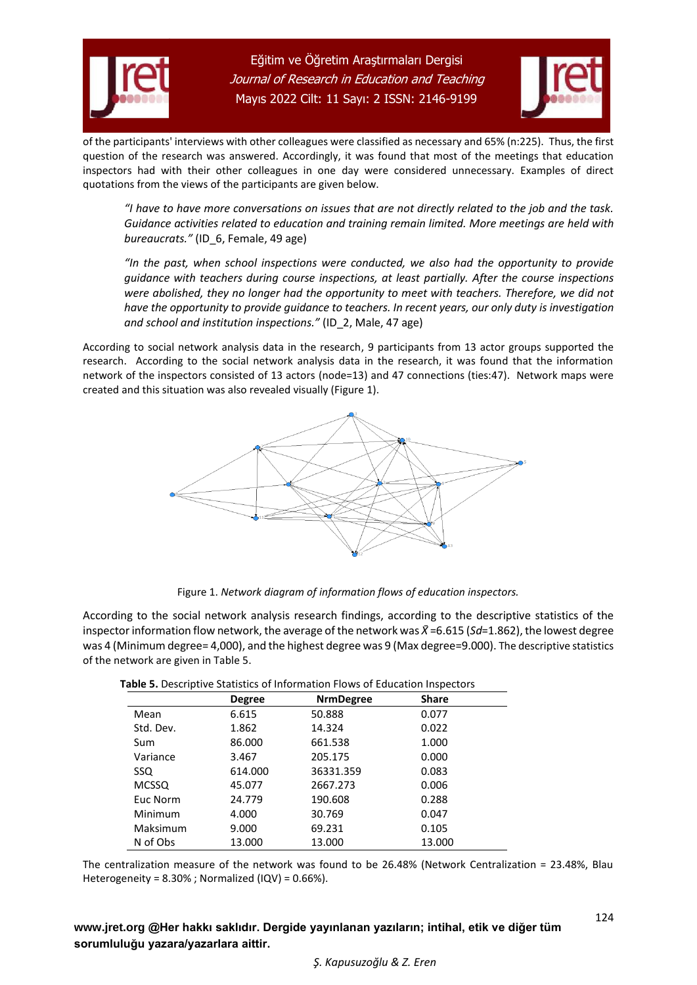



of the participants' interviews with other colleagues were classified as necessary and 65% (n:225). Thus, the first question of the research was answered. Accordingly, it was found that most of the meetings that education inspectors had with their other colleagues in one day were considered unnecessary. Examples of direct quotations from the views of the participants are given below.

*"I have to have more conversations on issues that are not directly related to the job and the task. Guidance activities related to education and training remain limited. More meetings are held with bureaucrats."* (ID\_6, Female, 49 age)

*"In the past, when school inspections were conducted, we also had the opportunity to provide guidance with teachers during course inspections, at least partially. After the course inspections were abolished, they no longer had the opportunity to meet with teachers. Therefore, we did not have the opportunity to provide guidance to teachers. In recent years, our only duty is investigation and school and institution inspections."* (ID\_2, Male, 47 age)

According to social network analysis data in the research, 9 participants from 13 actor groups supported the research. According to the social network analysis data in the research, it was found that the information network of the inspectors consisted of 13 actors (node=13) and 47 connections (ties:47). Network maps were created and this situation was also revealed visually (Figure 1).



Figure 1. *Network diagram of information flows of education inspectors.*

According to the social network analysis research findings, according to the descriptive statistics of the inspector information flow network, the average of the network was *X̄*=6.615 (*Sd*=1.862), the lowest degree was 4 (Minimum degree= 4,000), and the highest degree was 9 (Max degree=9.000). The descriptive statistics of the network are given in Table 5.

|              | <b>Degree</b> | <b>NrmDegree</b> | Share  |
|--------------|---------------|------------------|--------|
| Mean         | 6.615         | 50.888           | 0.077  |
| Std. Dev.    | 1.862         | 14.324           | 0.022  |
| Sum          | 86.000        | 661.538          | 1.000  |
| Variance     | 3.467         | 205.175          | 0.000  |
| SSQ.         | 614.000       | 36331.359        | 0.083  |
| <b>MCSSQ</b> | 45.077        | 2667.273         | 0.006  |
| Euc Norm     | 24.779        | 190.608          | 0.288  |
| Minimum      | 4.000         | 30.769           | 0.047  |
| Maksimum     | 9.000         | 69.231           | 0.105  |
| N of Obs     | 13.000        | 13.000           | 13.000 |

**Table 5.** Descriptive Statistics of Information Flows of Education Inspectors

The centralization measure of the network was found to be 26.48% (Network Centralization = 23.48%, Blau Heterogeneity = 8.30% ; Normalized (IQV) = 0.66%).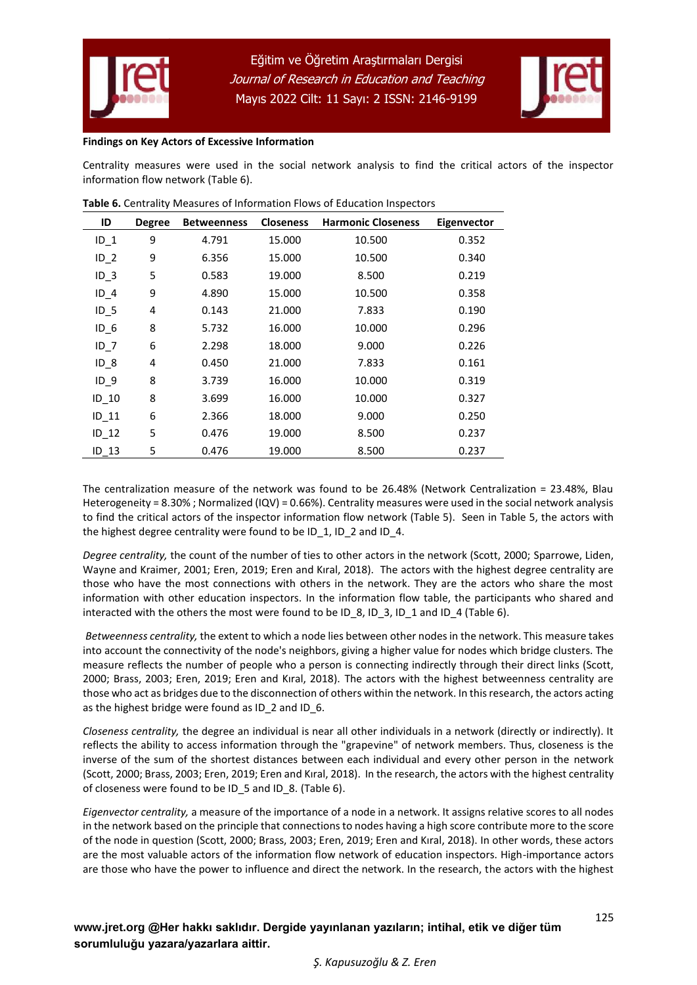



#### **Findings on Key Actors of Excessive Information**

Centrality measures were used in the social network analysis to find the critical actors of the inspector information flow network (Table 6).

| ID              | <b>Degree</b> | <b>Betweenness</b> | <b>Closeness</b> | <b>Harmonic Closeness</b> | Eigenvector |
|-----------------|---------------|--------------------|------------------|---------------------------|-------------|
| $ID_1$          | 9             | 4.791              | 15.000           | 10.500                    | 0.352       |
| $ID_2$          | 9             | 6.356              | 15.000           | 10.500                    | 0.340       |
| ID <sub>3</sub> | 5             | 0.583              | 19.000           | 8.500                     | 0.219       |
| $ID$ 4          | 9             | 4.890              | 15.000           | 10.500                    | 0.358       |
| $ID_5$          | 4             | 0.143              | 21.000           | 7.833                     | 0.190       |
| $ID_6$          | 8             | 5.732              | 16.000           | 10.000                    | 0.296       |
| ID <sub>7</sub> | 6             | 2.298              | 18.000           | 9.000                     | 0.226       |
| ID <sub>8</sub> | 4             | 0.450              | 21.000           | 7.833                     | 0.161       |
| ID <sub>9</sub> | 8             | 3.739              | 16.000           | 10.000                    | 0.319       |
| $ID_10$         | 8             | 3.699              | 16.000           | 10.000                    | 0.327       |
| $ID_11$         | 6             | 2.366              | 18.000           | 9.000                     | 0.250       |
| ID 12           | 5             | 0.476              | 19.000           | 8.500                     | 0.237       |
| ID 13           | 5             | 0.476              | 19.000           | 8.500                     | 0.237       |

| Table 6. Centrality Measures of Information Flows of Education Inspectors |  |
|---------------------------------------------------------------------------|--|
|---------------------------------------------------------------------------|--|

The centralization measure of the network was found to be 26.48% (Network Centralization = 23.48%, Blau Heterogeneity = 8.30% ; Normalized (IQV) = 0.66%). Centrality measures were used in the social network analysis to find the critical actors of the inspector information flow network (Table 5). Seen in Table 5, the actors with the highest degree centrality were found to be ID\_1, ID\_2 and ID\_4.

*Degree centrality,* the count of the number of ties to other actors in the network (Scott, 2000; Sparrowe, Liden, Wayne and Kraimer, 2001; Eren, 2019; Eren and Kıral, 2018). The actors with the highest degree centrality are those who have the most connections with others in the network. They are the actors who share the most information with other education inspectors. In the information flow table, the participants who shared and interacted with the others the most were found to be ID\_8, ID\_3, ID\_1 and ID\_4 (Table 6).

*Betweenness centrality,* the extent to which a node lies between other nodes in the network. This measure takes into account the connectivity of the node's neighbors, giving a higher value for nodes which bridge clusters. The measure reflects the number of people who a person is connecting indirectly through their direct links (Scott, 2000; Brass, 2003; Eren, 2019; Eren and Kıral, 2018). The actors with the highest betweenness centrality are those who act as bridges due to the disconnection of others within the network. In this research, the actors acting as the highest bridge were found as ID\_2 and ID\_6.

*Closeness centrality,* the degree an individual is near all other individuals in a network (directly or indirectly). It reflects the ability to access information through the "grapevine" of network members. Thus, closeness is the inverse of the sum of the shortest distances between each individual and every other person in the network (Scott, 2000; Brass, 2003; Eren, 2019; Eren and Kıral, 2018). In the research, the actors with the highest centrality of closeness were found to be ID\_5 and ID\_8. (Table 6).

*Eigenvector centrality,* a measure of the importance of a node in a network. It assigns relative scores to all nodes in the network based on the principle that connections to nodes having a high score contribute more to the score of the node in question (Scott, 2000; Brass, 2003; Eren, 2019; Eren and Kıral, 2018). In other words, these actors are the most valuable actors of the information flow network of education inspectors. High-importance actors are those who have the power to influence and direct the network. In the research, the actors with the highest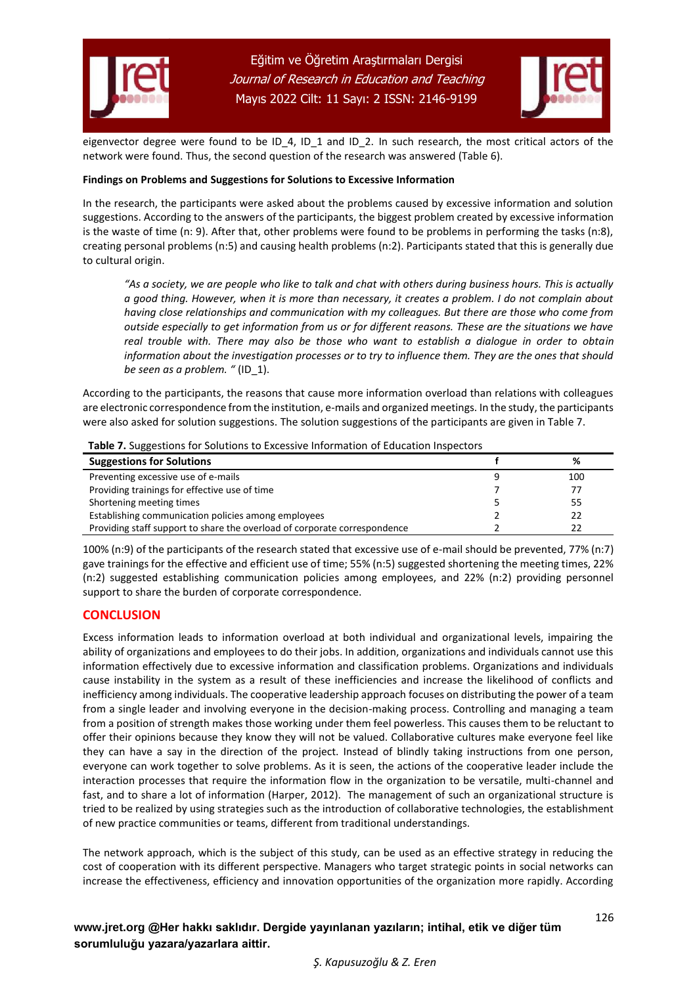



eigenvector degree were found to be ID\_4, ID\_1 and ID\_2. In such research, the most critical actors of the network were found. Thus, the second question of the research was answered (Table 6).

#### **Findings on Problems and Suggestions for Solutions to Excessive Information**

In the research, the participants were asked about the problems caused by excessive information and solution suggestions. According to the answers of the participants, the biggest problem created by excessive information is the waste of time (n: 9). After that, other problems were found to be problems in performing the tasks (n:8), creating personal problems (n:5) and causing health problems (n:2). Participants stated that this is generally due to cultural origin.

*"As a society, we are people who like to talk and chat with others during business hours. This is actually a good thing. However, when it is more than necessary, it creates a problem. I do not complain about having close relationships and communication with my colleagues. But there are those who come from outside especially to get information from us or for different reasons. These are the situations we have real trouble with. There may also be those who want to establish a dialogue in order to obtain information about the investigation processes or to try to influence them. They are the ones that should be seen as a problem. "* (ID\_1).

According to the participants, the reasons that cause more information overload than relations with colleagues are electronic correspondence from the institution, e-mails and organized meetings. In the study, the participants were also asked for solution suggestions. The solution suggestions of the participants are given in Table 7.

| <b>Table 7:</b> Suggestions for Solutions to Excessive implifiation of Education mispectors |  |     |  |
|---------------------------------------------------------------------------------------------|--|-----|--|
| <b>Suggestions for Solutions</b>                                                            |  | %   |  |
| Preventing excessive use of e-mails                                                         |  | 100 |  |
| Providing trainings for effective use of time                                               |  | 77  |  |
| Shortening meeting times                                                                    |  | 55  |  |
| Establishing communication policies among employees                                         |  | 22  |  |
| Providing staff support to share the overload of corporate correspondence                   |  | 22  |  |

**Table 7.** Suggestions for Solutions to Excessive Information of Education Inspectors

100% (n:9) of the participants of the research stated that excessive use of e-mail should be prevented, 77% (n:7) gave trainings for the effective and efficient use of time; 55% (n:5) suggested shortening the meeting times, 22% (n:2) suggested establishing communication policies among employees, and 22% (n:2) providing personnel support to share the burden of corporate correspondence.

## **CONCLUSION**

Excess information leads to information overload at both individual and organizational levels, impairing the ability of organizations and employees to do their jobs. In addition, organizations and individuals cannot use this information effectively due to excessive information and classification problems. Organizations and individuals cause instability in the system as a result of these inefficiencies and increase the likelihood of conflicts and inefficiency among individuals. The cooperative leadership approach focuses on distributing the power of a team from a single leader and involving everyone in the decision-making process. Controlling and managing a team from a position of strength makes those working under them feel powerless. This causes them to be reluctant to offer their opinions because they know they will not be valued. Collaborative cultures make everyone feel like they can have a say in the direction of the project. Instead of blindly taking instructions from one person, everyone can work together to solve problems. As it is seen, the actions of the cooperative leader include the interaction processes that require the information flow in the organization to be versatile, multi-channel and fast, and to share a lot of information (Harper, 2012). The management of such an organizational structure is tried to be realized by using strategies such as the introduction of collaborative technologies, the establishment of new practice communities or teams, different from traditional understandings.

The network approach, which is the subject of this study, can be used as an effective strategy in reducing the cost of cooperation with its different perspective. Managers who target strategic points in social networks can increase the effectiveness, efficiency and innovation opportunities of the organization more rapidly. According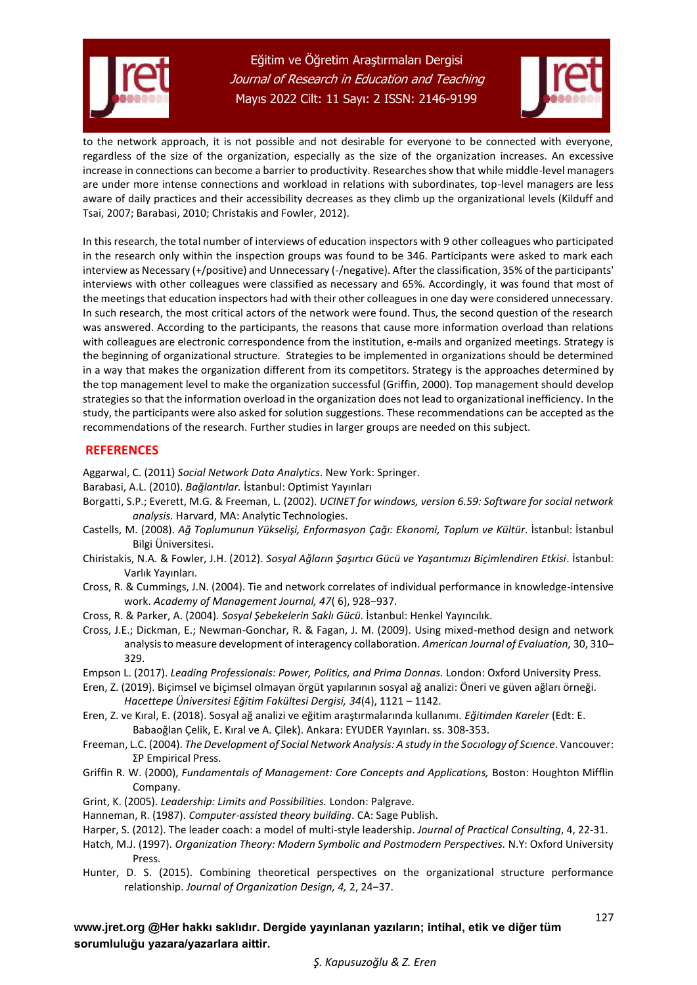



127

to the network approach, it is not possible and not desirable for everyone to be connected with everyone, regardless of the size of the organization, especially as the size of the organization increases. An excessive increase in connections can become a barrier to productivity. Researches show that while middle-level managers are under more intense connections and workload in relations with subordinates, top-level managers are less aware of daily practices and their accessibility decreases as they climb up the organizational levels (Kilduff and Tsai, 2007; Barabasi, 2010; Christakis and Fowler, 2012).

In this research, the total number of interviews of education inspectors with 9 other colleagues who participated in the research only within the inspection groups was found to be 346. Participants were asked to mark each interview as Necessary (+/positive) and Unnecessary (-/negative). After the classification, 35% of the participants' interviews with other colleagues were classified as necessary and 65%. Accordingly, it was found that most of the meetings that education inspectors had with their other colleagues in one day were considered unnecessary. In such research, the most critical actors of the network were found. Thus, the second question of the research was answered. According to the participants, the reasons that cause more information overload than relations with colleagues are electronic correspondence from the institution, e-mails and organized meetings. Strategy is the beginning of organizational structure. Strategies to be implemented in organizations should be determined in a way that makes the organization different from its competitors. Strategy is the approaches determined by the top management level to make the organization successful (Griffin, 2000). Top management should develop strategies so that the information overload in the organization does not lead to organizational inefficiency. In the study, the participants were also asked for solution suggestions. These recommendations can be accepted as the recommendations of the research. Further studies in larger groups are needed on this subject.

## **REFERENCES**

Aggarwal, C. (2011) *Social Network Data Analytics*. New York: Springer.

- Barabasi, A.L. (2010). *Bağlantılar.* İstanbul: Optimist Yayınları
- Borgatti, S.P.; Everett, M.G. & Freeman, L. (2002). *UCINET for windows, version 6.59: Software for social network analysis.* Harvard, MA: Analytic Technologies.
- Castells, M. (2008). *Ağ Toplumunun Yükselişi, Enformasyon Çağı: Ekonomi, Toplum ve Kültür*. İstanbul: İstanbul Bilgi Üniversitesi.
- Chiristakis, N.A. & Fowler, J.H. (2012). *Sosyal Ağların Şaşırtıcı Gücü ve Yaşantımızı Biçimlendiren Etkisi*. İstanbul: Varlık Yayınları.
- Cross, R. & Cummings, J.N. (2004). Tie and network correlates of individual performance in knowledge-intensive work. Academy of Management Journal, 47(6), 928-937.
- Cross, R. & Parker, A. (2004). *Sosyal Şebekelerin Saklı Gücü.* İstanbul: Henkel Yayıncılık.
- Cross, J.E.; Dickman, E.; Newman-Gonchar, R. & Fagan, J. M. (2009). Using mixed-method design and network analysis to measure development of interagency collaboration. American Journal of Evaluation, 30, 310-329.
- Empson L. (2017). *Leading Professionals: Power, Politics, and Prima Donnas.* London: Oxford University Press.
- Eren, Z. (2019). Biçimsel ve biçimsel olmayan örgüt yapılarının sosyal ağ analizi: Öneri ve güven ağları örneği. *Hacettepe Üniversitesi Eğitim Fakültesi Dergisi, 34*(4), 1121 – 1142.
- Eren, Z. ve Kıral, E. (2018). Sosyal ağ analizi ve eğitim araştırmalarında kullanımı. *Eğitimden Kareler* (Edt: E. Babaoğlan Çelik, E. Kıral ve A. Çilek). Ankara: EYUDER Yayınları. ss. 308-353.
- Freeman, L.C. (2004). *The Development of Social Network Analysis: A study in the Socıology of Scıence*. Vancouver: ΣP Empirical Press.
- Griffin R. W. (2000), *Fundamentals of Management: Core Concepts and Applications,* Boston: Houghton Mifflin Company.
- Grint, K. (2005). *Leadership: Limits and Possibilities.* London: Palgrave.
- Hanneman, R. (1987). *Computer-assisted theory building*. CA: Sage Publish.
- Harper, S. (2012). The leader coach: a model of multi-style leadership. *Journal of Practical Consulting*, 4, 22-31.
- Hatch, M.J. (1997). *Organization Theory: Modern Symbolic and Postmodern Perspectives.* N.Y: Oxford University Press.
- Hunter, D. S. (2015). Combining theoretical perspectives on the organizational structure performance relationship. *Journal of Organization Design, 4,* 2, 24‒37.

**[www.jret.org @](http://www.jret.org/)Her hakkı saklıdır. Dergide yayınlanan yazıların; intihal, etik ve diğer tüm sorumluluğu yazara/yazarlara aittir.**